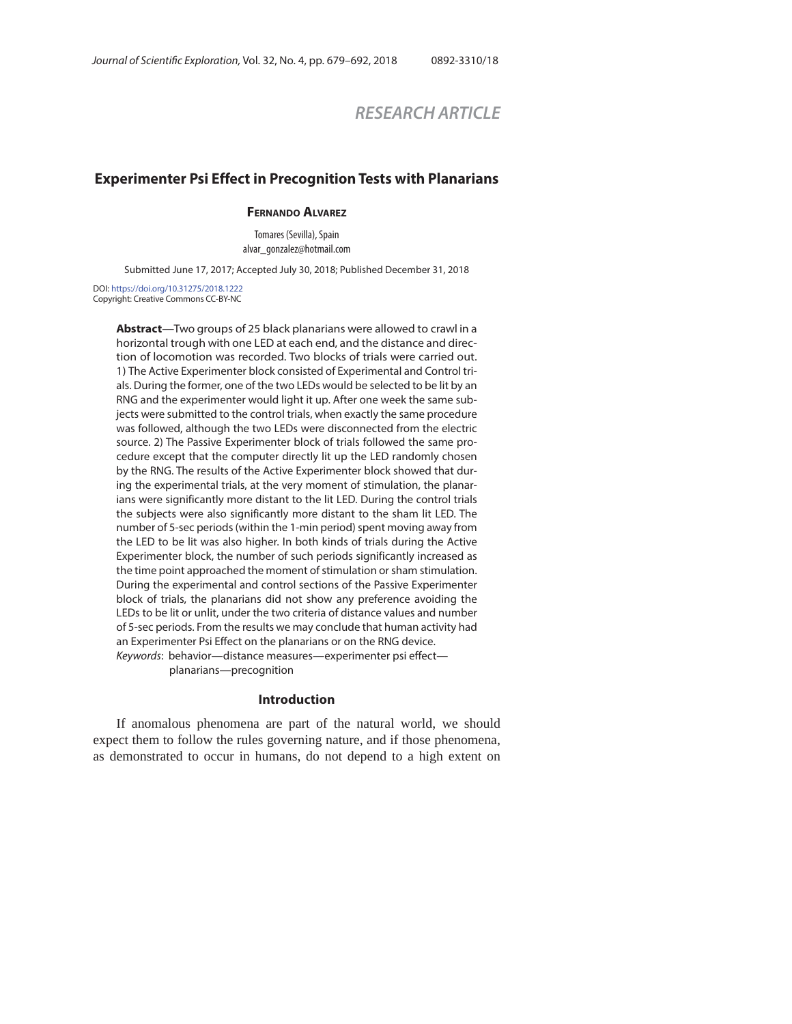# *RESEARCH ARTICLE*

## **Experimenter Psi Effect in Precognition Tests with Planarians**

## **FERNANDO ALVAREZ**

Tomares (Sevilla), Spain<br>alvar\_gonzalez@hotmail.com alvar\_gonzalez@hotmail.com

Submitted June 17, 2017; Accepted July 30, 2018; Published December 31, 2018

DOI: https://doi.org/10.31275/2018.1222 Copyright: Creative Commons CC-BY-NC

> **Abstract**—Two groups of 25 black planarians were allowed to crawl in a horizontal trough with one LED at each end, and the distance and direction of locomotion was recorded. Two blocks of trials were carried out. 1) The Active Experimenter block consisted of Experimental and Control trials. During the former, one of the two LEDs would be selected to be lit by an RNG and the experimenter would light it up. After one week the same subjects were submitted to the control trials, when exactly the same procedure was followed, although the two LEDs were disconnected from the electric source. 2) The Passive Experimenter block of trials followed the same procedure except that the computer directly lit up the LED randomly chosen by the RNG. The results of the Active Experimenter block showed that during the experimental trials, at the very moment of stimulation, the planarians were significantly more distant to the lit LED. During the control trials the subjects were also significantly more distant to the sham lit LED. The number of 5-sec periods (within the 1-min period) spent moving away from the LED to be lit was also higher. In both kinds of trials during the Active Experimenter block, the number of such periods significantly increased as the time point approached the moment of stimulation or sham stimulation. During the experimental and control sections of the Passive Experimenter block of trials, the planarians did not show any preference avoiding the LEDs to be lit or unlit, under the two criteria of distance values and number of 5-sec periods. From the results we may conclude that human activity had an Experimenter Psi Effect on the planarians or on the RNG device. Keywords: behavior—distance measures—experimenter psi effect—

planarians—precognition

#### **Introduction**

If anomalous phenomena are part of the natural world, we should expect them to follow the rules governing nature, and if those phenomena, as demonstrated to occur in humans, do not depend to a high extent on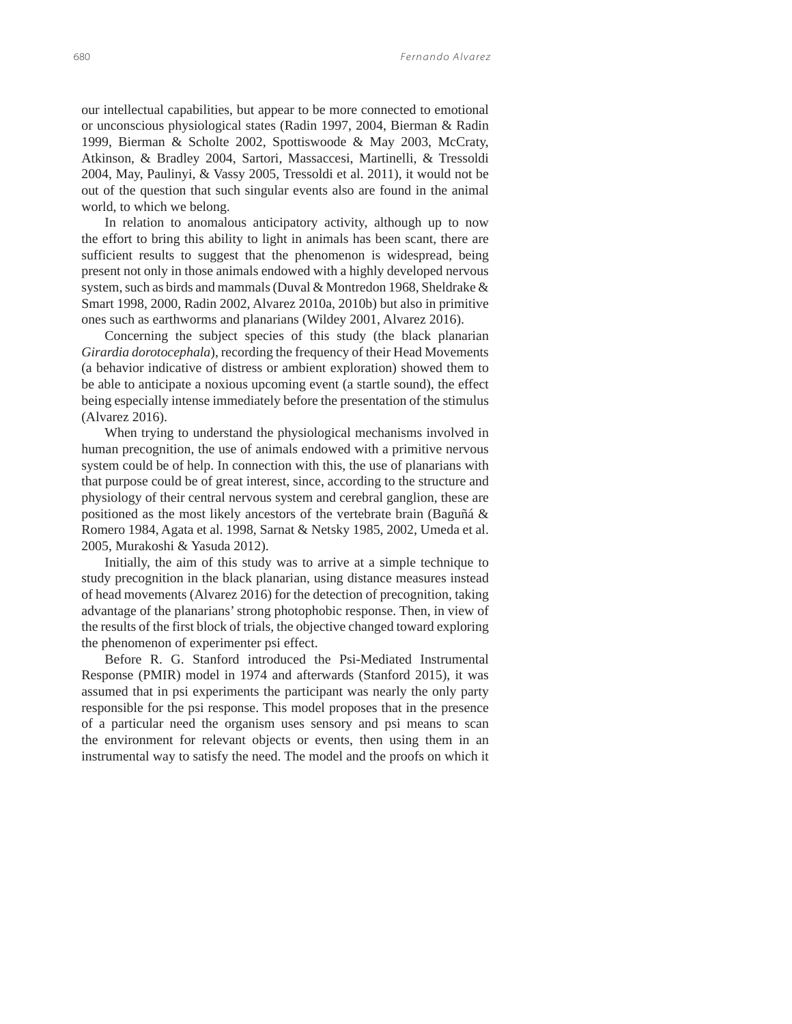our intellectual capabilities, but appear to be more connected to emotional or unconscious physiological states (Radin 1997, 2004, Bierman & Radin 1999, Bierman & Scholte 2002, Spottiswoode & May 2003, McCraty, Atkinson, & Bradley 2004, Sartori, Massaccesi, Martinelli, & Tressoldi 2004, May, Paulinyi, & Vassy 2005, Tressoldi et al. 2011), it would not be out of the question that such singular events also are found in the animal world, to which we belong.

In relation to anomalous anticipatory activity, although up to now the effort to bring this ability to light in animals has been scant, there are sufficient results to suggest that the phenomenon is widespread, being present not only in those animals endowed with a highly developed nervous system, such as birds and mammals (Duval & Montredon 1968, Sheldrake & Smart 1998, 2000, Radin 2002, Alvarez 2010a, 2010b) but also in primitive ones such as earthworms and planarians (Wildey 2001, Alvarez 2016).

Concerning the subject species of this study (the black planarian *Girardia dorotocephala*), recording the frequency of their Head Movements (a behavior indicative of distress or ambient exploration) showed them to be able to anticipate a noxious upcoming event (a startle sound), the effect being especially intense immediately before the presentation of the stimulus (Alvarez 2016).

When trying to understand the physiological mechanisms involved in human precognition, the use of animals endowed with a primitive nervous system could be of help. In connection with this, the use of planarians with that purpose could be of great interest, since, according to the structure and physiology of their central nervous system and cerebral ganglion, these are positioned as the most likely ancestors of the vertebrate brain (Baguñá & Romero 1984, Agata et al. 1998, Sarnat & Netsky 1985, 2002, Umeda et al. 2005, Murakoshi & Yasuda 2012).

Initially, the aim of this study was to arrive at a simple technique to study precognition in the black planarian, using distance measures instead of head movements (Alvarez 2016) for the detection of precognition, taking advantage of the planarians' strong photophobic response. Then, in view of the results of the first block of trials, the objective changed toward exploring the phenomenon of experimenter psi effect.

Before R. G. Stanford introduced the Psi-Mediated Instrumental Response (PMIR) model in 1974 and afterwards (Stanford 2015), it was assumed that in psi experiments the participant was nearly the only party responsible for the psi response. This model proposes that in the presence of a particular need the organism uses sensory and psi means to scan the environment for relevant objects or events, then using them in an instrumental way to satisfy the need. The model and the proofs on which it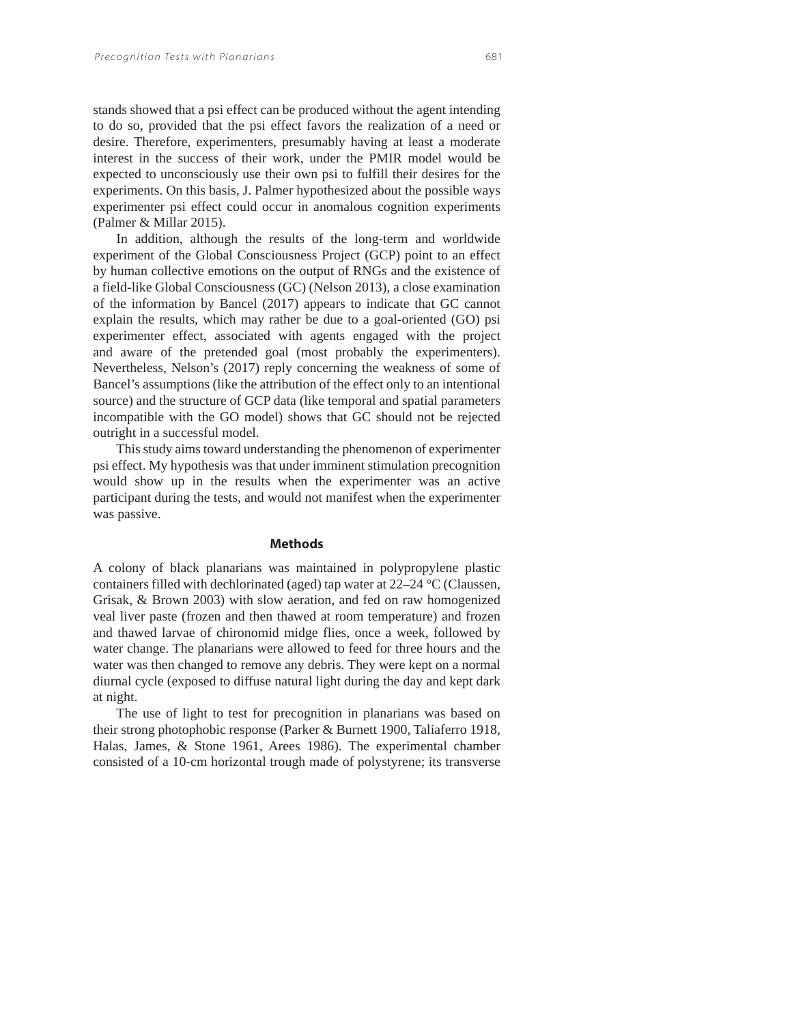stands showed that a psi effect can be produced without the agent intending to do so, provided that the psi effect favors the realization of a need or desire. Therefore, experimenters, presumably having at least a moderate interest in the success of their work, under the PMIR model would be expected to unconsciously use their own psi to fulfill their desires for the experiments. On this basis, J. Palmer hypothesized about the possible ways experimenter psi effect could occur in anomalous cognition experiments (Palmer & Millar 2015).

In addition, although the results of the long-term and worldwide experiment of the Global Consciousness Project (GCP) point to an effect by human collective emotions on the output of RNGs and the existence of a field-like Global Consciousness (GC) (Nelson 2013), a close examination of the information by Bancel (2017) appears to indicate that GC cannot explain the results, which may rather be due to a goal-oriented (GO) psi experimenter effect, associated with agents engaged with the project and aware of the pretended goal (most probably the experimenters). Nevertheless, Nelson's (2017) reply concerning the weakness of some of Bancel's assumptions (like the attribution of the effect only to an intentional source) and the structure of GCP data (like temporal and spatial parameters incompatible with the GO model) shows that GC should not be rejected outright in a successful model.

This study aims toward understanding the phenomenon of experimenter psi effect. My hypothesis was that under imminent stimulation precognition would show up in the results when the experimenter was an active participant during the tests, and would not manifest when the experimenter was passive.

#### **Methods**

A colony of black planarians was maintained in polypropylene plastic containers filled with dechlorinated (aged) tap water at 22–24 °C (Claussen, Grisak, & Brown 2003) with slow aeration, and fed on raw homogenized veal liver paste (frozen and then thawed at room temperature) and frozen and thawed larvae of chironomid midge flies, once a week, followed by water change. The planarians were allowed to feed for three hours and the water was then changed to remove any debris. They were kept on a normal diurnal cycle (exposed to diffuse natural light during the day and kept dark at night.

The use of light to test for precognition in planarians was based on their strong photophobic response (Parker & Burnett 1900, Taliaferro 1918, Halas, James, & Stone 1961, Arees 1986). The experimental chamber consisted of a 10-cm horizontal trough made of polystyrene; its transverse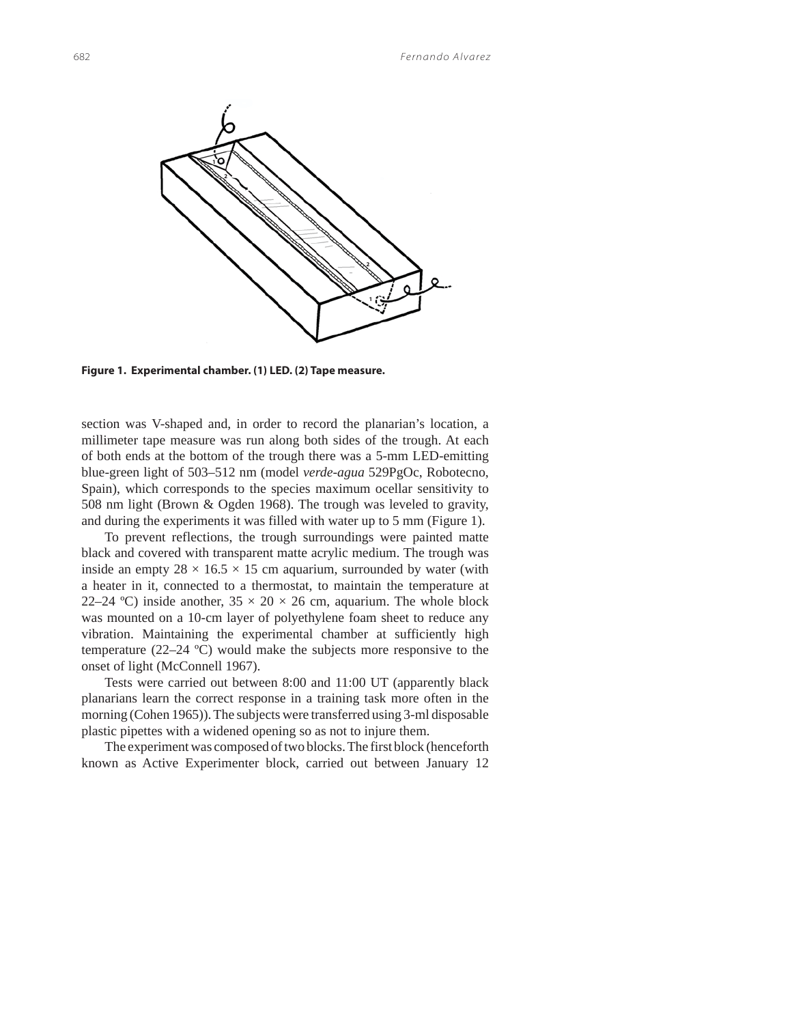

**Figure 1. Experimental chamber. (1) LED. (2) Tape measure.**

section was V-shaped and, in order to record the planarian's location, a millimeter tape measure was run along both sides of the trough. At each of both ends at the bottom of the trough there was a 5-mm LED-emitting blue-green light of 503–512 nm (model *verde-agua* 529PgOc, Robotecno, Spain), which corresponds to the species maximum ocellar sensitivity to 508 nm light (Brown & Ogden 1968). The trough was leveled to gravity, and during the experiments it was filled with water up to 5 mm (Figure 1).

To prevent reflections, the trough surroundings were painted matte black and covered with transparent matte acrylic medium. The trough was inside an empty  $28 \times 16.5 \times 15$  cm aquarium, surrounded by water (with a heater in it, connected to a thermostat, to maintain the temperature at 22–24 °C) inside another,  $35 \times 20 \times 26$  cm, aquarium. The whole block was mounted on a 10-cm layer of polyethylene foam sheet to reduce any vibration. Maintaining the experimental chamber at sufficiently high temperature (22–24 ºC) would make the subjects more responsive to the onset of light (McConnell 1967).

Tests were carried out between 8:00 and 11:00 UT (apparently black planarians learn the correct response in a training task more often in the morning (Cohen 1965)). The subjects were transferred using 3-ml disposable plastic pipettes with a widened opening so as not to injure them.

The experiment was composed of two blocks. The first block (henceforth known as Active Experimenter block, carried out between January 12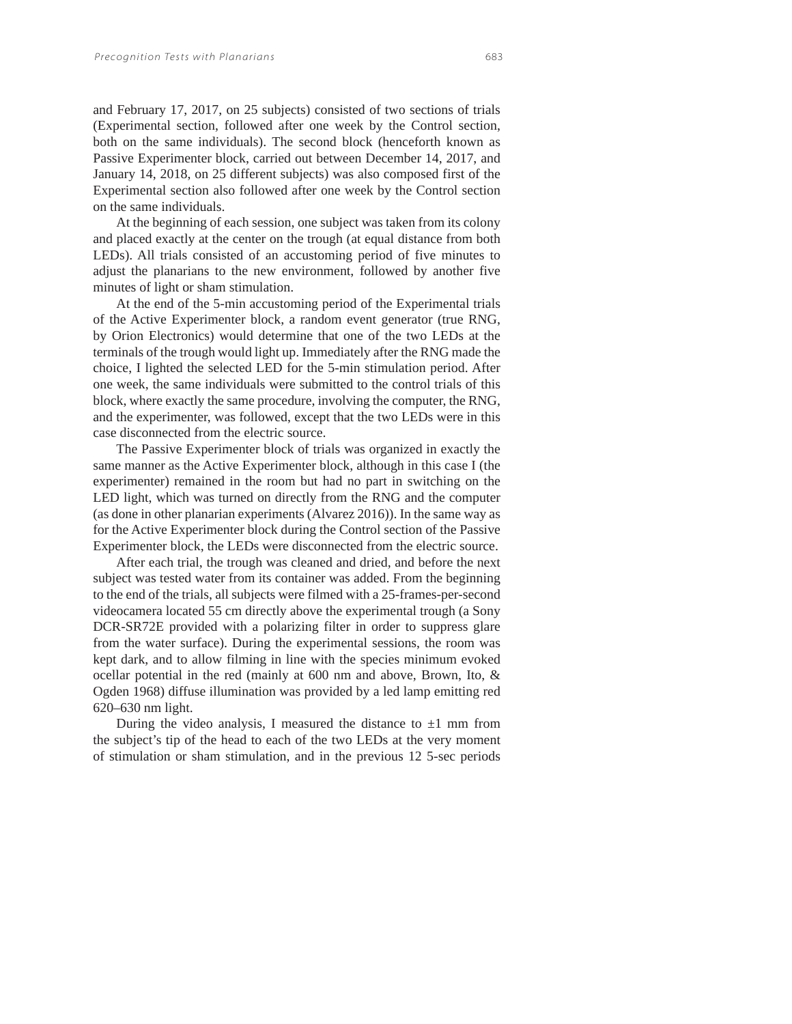and February 17, 2017, on 25 subjects) consisted of two sections of trials (Experimental section, followed after one week by the Control section, both on the same individuals). The second block (henceforth known as Passive Experimenter block, carried out between December 14, 2017, and January 14, 2018, on 25 different subjects) was also composed first of the Experimental section also followed after one week by the Control section on the same individuals.

At the beginning of each session, one subject was taken from its colony and placed exactly at the center on the trough (at equal distance from both LEDs). All trials consisted of an accustoming period of five minutes to adjust the planarians to the new environment, followed by another five minutes of light or sham stimulation.

At the end of the 5-min accustoming period of the Experimental trials of the Active Experimenter block, a random event generator (true RNG, by Orion Electronics) would determine that one of the two LEDs at the terminals of the trough would light up. Immediately after the RNG made the choice, I lighted the selected LED for the 5-min stimulation period. After one week, the same individuals were submitted to the control trials of this block, where exactly the same procedure, involving the computer, the RNG, and the experimenter, was followed, except that the two LEDs were in this case disconnected from the electric source.

The Passive Experimenter block of trials was organized in exactly the same manner as the Active Experimenter block, although in this case I (the experimenter) remained in the room but had no part in switching on the LED light, which was turned on directly from the RNG and the computer (as done in other planarian experiments (Alvarez 2016)). In the same way as for the Active Experimenter block during the Control section of the Passive Experimenter block, the LEDs were disconnected from the electric source.

After each trial, the trough was cleaned and dried, and before the next subject was tested water from its container was added. From the beginning to the end of the trials, all subjects were filmed with a 25-frames-per-second videocamera located 55 cm directly above the experimental trough (a Sony DCR-SR72E provided with a polarizing filter in order to suppress glare from the water surface). During the experimental sessions, the room was kept dark, and to allow filming in line with the species minimum evoked ocellar potential in the red (mainly at 600 nm and above, Brown, Ito, & Ogden 1968) diffuse illumination was provided by a led lamp emitting red 620–630 nm light.

During the video analysis, I measured the distance to  $\pm 1$  mm from the subject's tip of the head to each of the two LEDs at the very moment of stimulation or sham stimulation, and in the previous 12 5-sec periods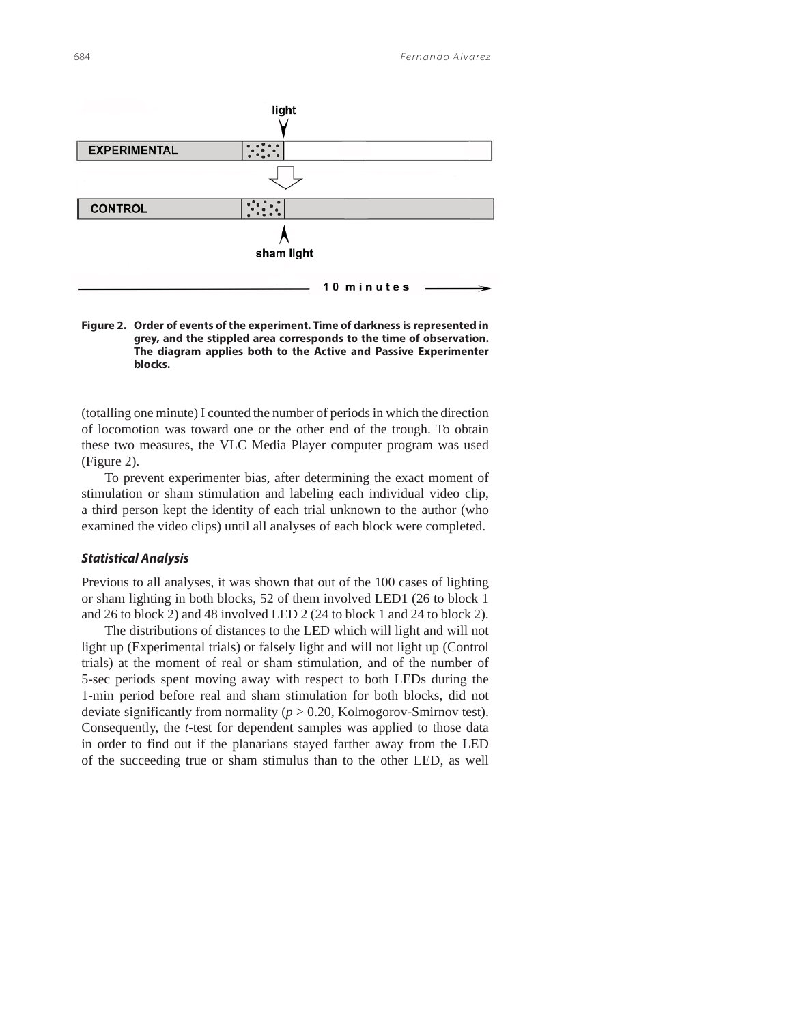

**Figure 2. Order of events of the experiment. Time of darkness is represented in grey, and the stippled area corresponds to the time of observation. The diagram applies both to the Active and Passive Experimenter blocks.**

(totalling one minute) I counted the number of periods in which the direction of locomotion was toward one or the other end of the trough. To obtain these two measures, the VLC Media Player computer program was used (Figure 2).

To prevent experimenter bias, after determining the exact moment of stimulation or sham stimulation and labeling each individual video clip, a third person kept the identity of each trial unknown to the author (who examined the video clips) until all analyses of each block were completed.

## *Statistical Analysis*

Previous to all analyses, it was shown that out of the 100 cases of lighting or sham lighting in both blocks, 52 of them involved LED1 (26 to block 1 and 26 to block 2) and 48 involved LED 2 (24 to block 1 and 24 to block 2).

The distributions of distances to the LED which will light and will not light up (Experimental trials) or falsely light and will not light up (Control trials) at the moment of real or sham stimulation, and of the number of 5-sec periods spent moving away with respect to both LEDs during the 1-min period before real and sham stimulation for both blocks, did not deviate significantly from normality (*p* > 0.20, Kolmogorov-Smirnov test). Consequently, the *t*-test for dependent samples was applied to those data in order to find out if the planarians stayed farther away from the LED of the succeeding true or sham stimulus than to the other LED, as well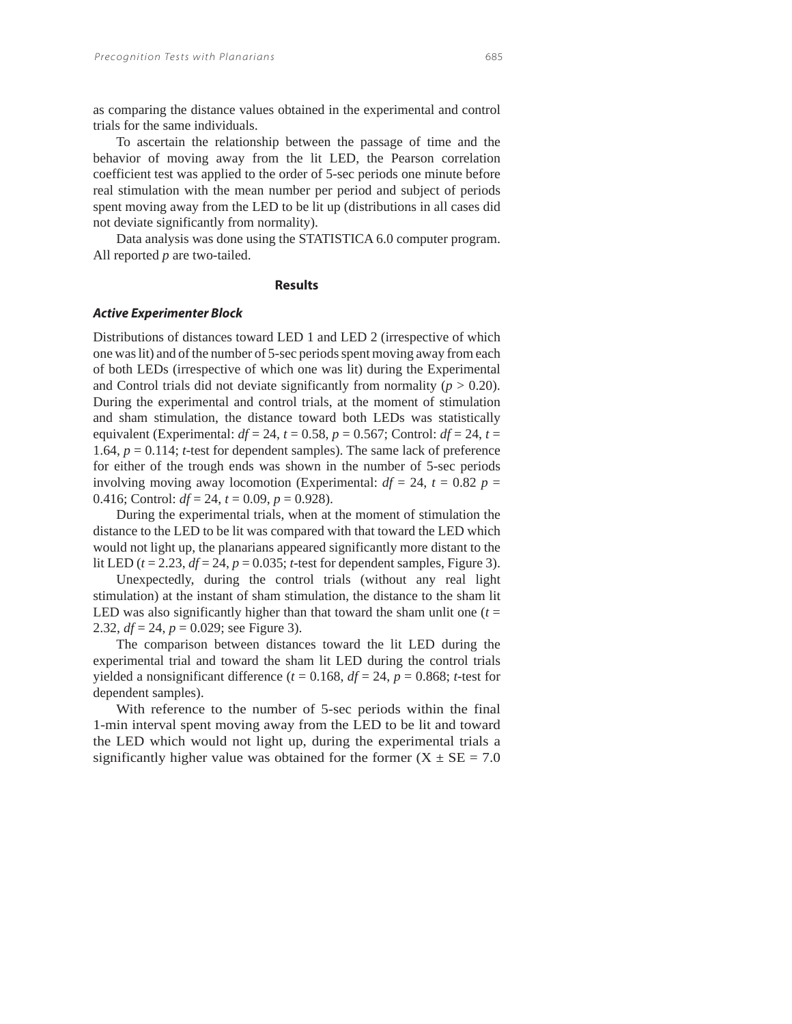as comparing the distance values obtained in the experimental and control trials for the same individuals.

To ascertain the relationship between the passage of time and the behavior of moving away from the lit LED, the Pearson correlation coefficient test was applied to the order of 5-sec periods one minute before real stimulation with the mean number per period and subject of periods spent moving away from the LED to be lit up (distributions in all cases did not deviate significantly from normality).

Data analysis was done using the STATISTICA 6.0 computer program. All reported *p* are two-tailed.

## **Results**

#### *Active Experimenter Block*

Distributions of distances toward LED 1 and LED 2 (irrespective of which one was lit) and of the number of 5-sec periods spent moving away from each of both LEDs (irrespective of which one was lit) during the Experimental and Control trials did not deviate significantly from normality ( $p > 0.20$ ). During the experimental and control trials, at the moment of stimulation and sham stimulation, the distance toward both LEDs was statistically equivalent (Experimental:  $df = 24$ ,  $t = 0.58$ ,  $p = 0.567$ ; Control:  $df = 24$ ,  $t =$ 1.64, *p* = 0.114; *t*-test for dependent samples). The same lack of preference for either of the trough ends was shown in the number of 5-sec periods involving moving away locomotion (Experimental:  $df = 24$ ,  $t = 0.82$   $p =$ 0.416; Control:  $df = 24$ ,  $t = 0.09$ ,  $p = 0.928$ ).

During the experimental trials, when at the moment of stimulation the distance to the LED to be lit was compared with that toward the LED which would not light up, the planarians appeared significantly more distant to the lit LED  $(t = 2.23, df = 24, p = 0.035$ ; *t*-test for dependent samples, Figure 3).

Unexpectedly, during the control trials (without any real light stimulation) at the instant of sham stimulation, the distance to the sham lit LED was also significantly higher than that toward the sham unlit one  $(t =$ 2.32, *df* = 24, *p* = 0.029; see Figure 3).

The comparison between distances toward the lit LED during the experimental trial and toward the sham lit LED during the control trials yielded a nonsignificant difference ( $t = 0.168$ ,  $df = 24$ ,  $p = 0.868$ ; *t*-test for dependent samples).

With reference to the number of 5-sec periods within the final 1-min interval spent moving away from the LED to be lit and toward the LED which would not light up, during the experimental trials a significantly higher value was obtained for the former  $(X \pm SE = 7.0$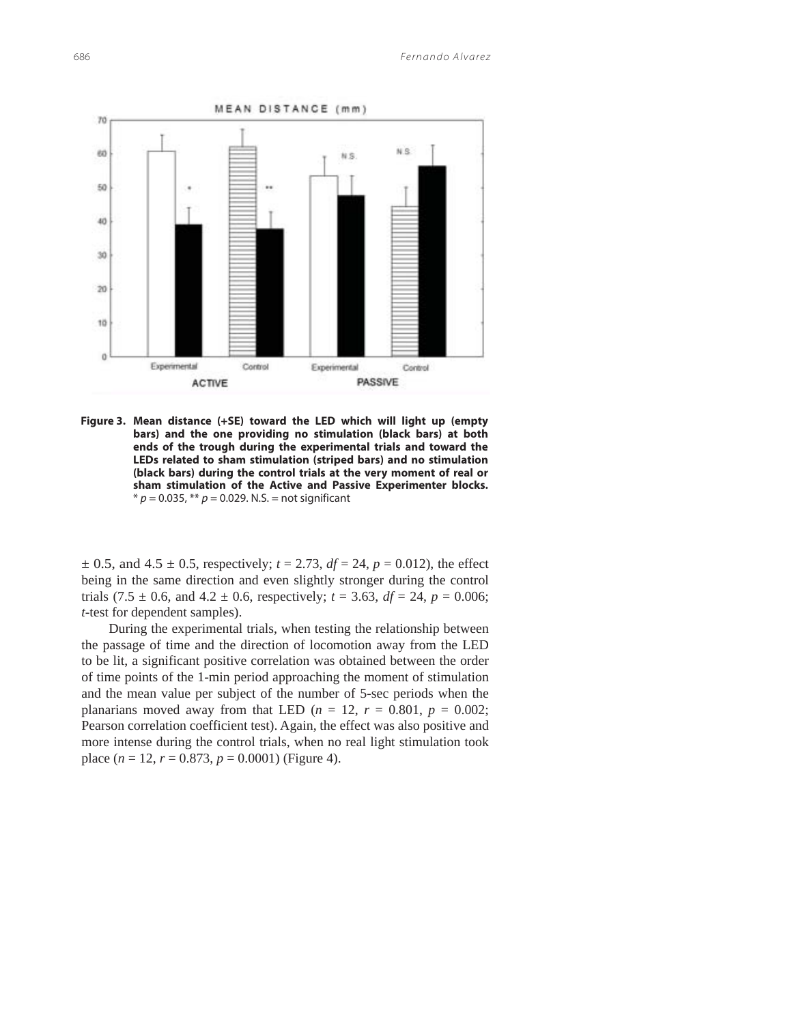

**Figure 3. Mean distance (+SE) toward the LED which will light up (empty bars) and the one providing no stimulation (black bars) at both ends of the trough during the experimental trials and toward the LEDs related to sham stimulation (striped bars) and no stimulation (black bars) during the control trials at the very moment of real or sham stimulation of the Active and Passive Experimenter blocks.**   $* p = 0.035$ ,  $** p = 0.029$ . N.S. = not significant

 $\pm$  0.5, and 4.5  $\pm$  0.5, respectively; *t* = 2.73, *df* = 24, *p* = 0.012), the effect being in the same direction and even slightly stronger during the control trials (7.5  $\pm$  0.6, and 4.2  $\pm$  0.6, respectively; *t* = 3.63, *df* = 24, *p* = 0.006; *t*-test for dependent samples).

 During the experimental trials, when testing the relationship between the passage of time and the direction of locomotion away from the LED to be lit, a significant positive correlation was obtained between the order of time points of the 1-min period approaching the moment of stimulation and the mean value per subject of the number of 5-sec periods when the planarians moved away from that LED ( $n = 12$ ,  $r = 0.801$ ,  $p = 0.002$ ; Pearson correlation coefficient test). Again, the effect was also positive and more intense during the control trials, when no real light stimulation took place  $(n = 12, r = 0.873, p = 0.0001)$  (Figure 4).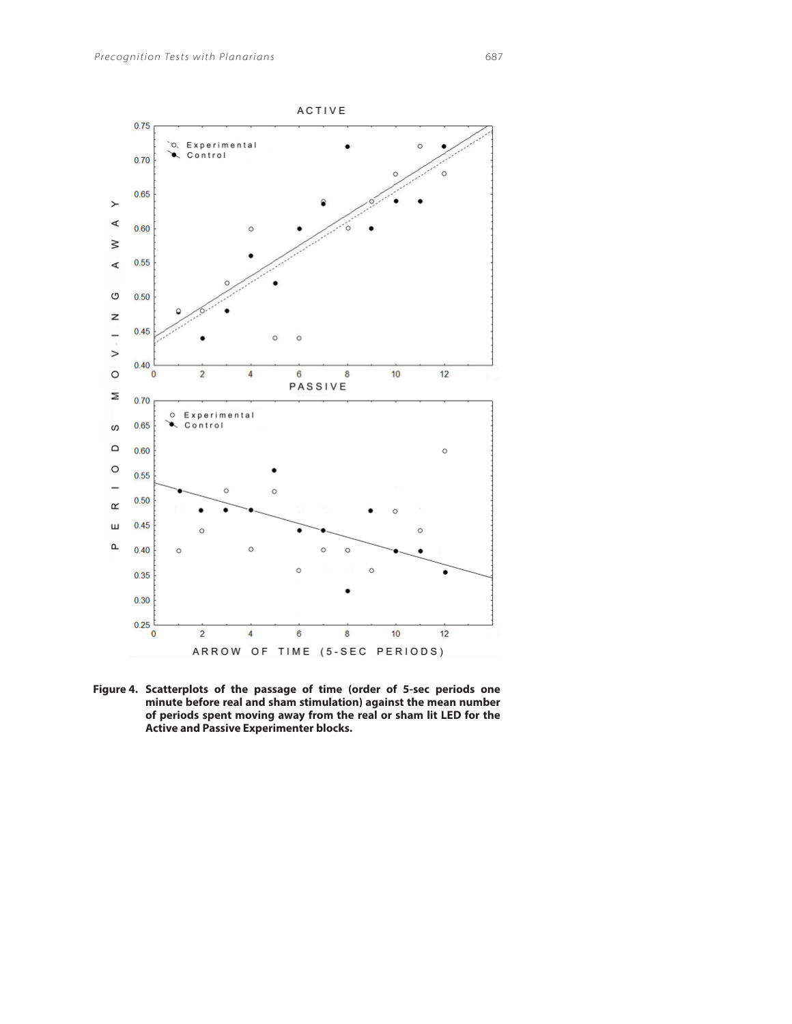

**Figure 4. Scatterplots of the passage of time (order of 5-sec periods one minute before real and sham stimulation) against the mean number of periods spent moving away from the real or sham lit LED for the Active and Passive Experimenter blocks.**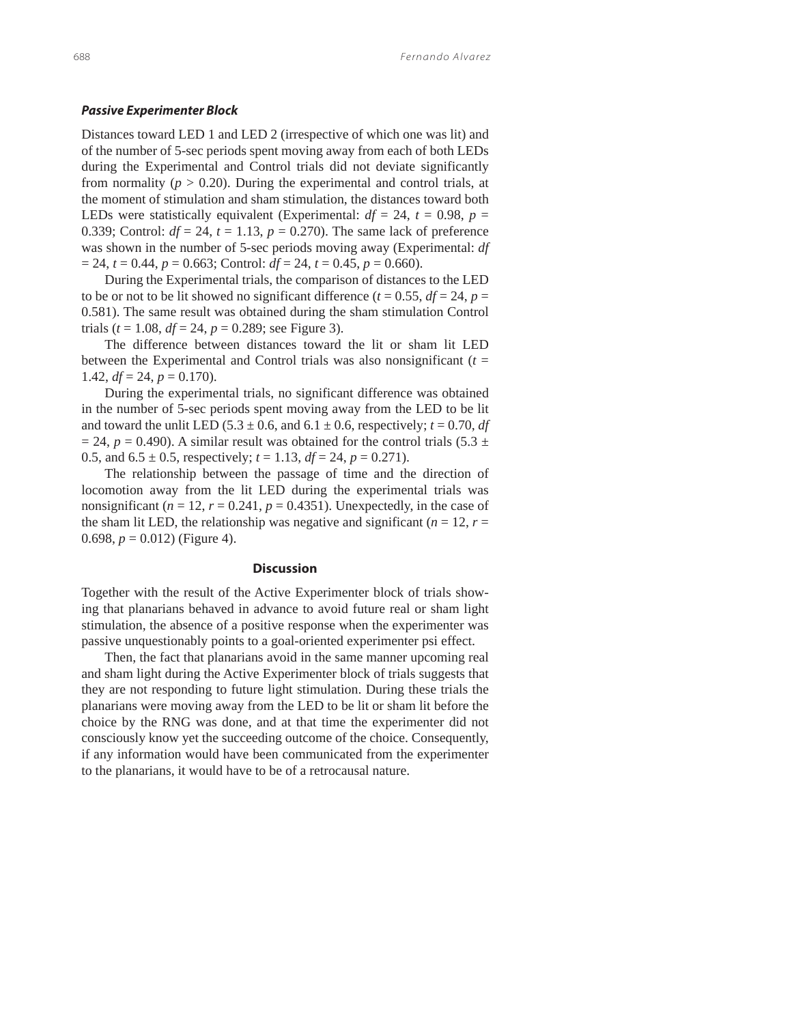### *Passive Experimenter Block*

Distances toward LED 1 and LED 2 (irrespective of which one was lit) and of the number of 5-sec periods spent moving away from each of both LEDs during the Experimental and Control trials did not deviate significantly from normality ( $p > 0.20$ ). During the experimental and control trials, at the moment of stimulation and sham stimulation, the distances toward both LEDs were statistically equivalent (Experimental:  $df = 24$ ,  $t = 0.98$ ,  $p =$ 0.339; Control:  $df = 24$ ,  $t = 1.13$ ,  $p = 0.270$ ). The same lack of preference was shown in the number of 5-sec periods moving away (Experimental: *df*  $= 24$ ,  $t = 0.44$ ,  $p = 0.663$ ; Control:  $df = 24$ ,  $t = 0.45$ ,  $p = 0.660$ ).

During the Experimental trials, the comparison of distances to the LED to be or not to be lit showed no significant difference ( $t = 0.55$ ,  $df = 24$ ,  $p =$ 0.581). The same result was obtained during the sham stimulation Control trials ( $t = 1.08$ ,  $df = 24$ ,  $p = 0.289$ ; see Figure 3).

The difference between distances toward the lit or sham lit LED between the Experimental and Control trials was also nonsignificant  $(t =$ 1.42,  $df = 24$ ,  $p = 0.170$ ).

During the experimental trials, no significant difference was obtained in the number of 5-sec periods spent moving away from the LED to be lit and toward the unlit LED (5.3  $\pm$  0.6, and 6.1  $\pm$  0.6, respectively; *t* = 0.70, *df*  $= 24$ ,  $p = 0.490$ ). A similar result was obtained for the control trials (5.3  $\pm$ 0.5, and  $6.5 \pm 0.5$ , respectively;  $t = 1.13$ ,  $df = 24$ ,  $p = 0.271$ ).

The relationship between the passage of time and the direction of locomotion away from the lit LED during the experimental trials was nonsignificant ( $n = 12$ ,  $r = 0.241$ ,  $p = 0.4351$ ). Unexpectedly, in the case of the sham lit LED, the relationship was negative and significant ( $n = 12$ ,  $r =$ 0.698,  $p = 0.012$ ) (Figure 4).

### **Discussion**

Together with the result of the Active Experimenter block of trials showing that planarians behaved in advance to avoid future real or sham light stimulation, the absence of a positive response when the experimenter was passive unquestionably points to a goal-oriented experimenter psi effect.

Then, the fact that planarians avoid in the same manner upcoming real and sham light during the Active Experimenter block of trials suggests that they are not responding to future light stimulation. During these trials the planarians were moving away from the LED to be lit or sham lit before the choice by the RNG was done, and at that time the experimenter did not consciously know yet the succeeding outcome of the choice. Consequently, if any information would have been communicated from the experimenter to the planarians, it would have to be of a retrocausal nature.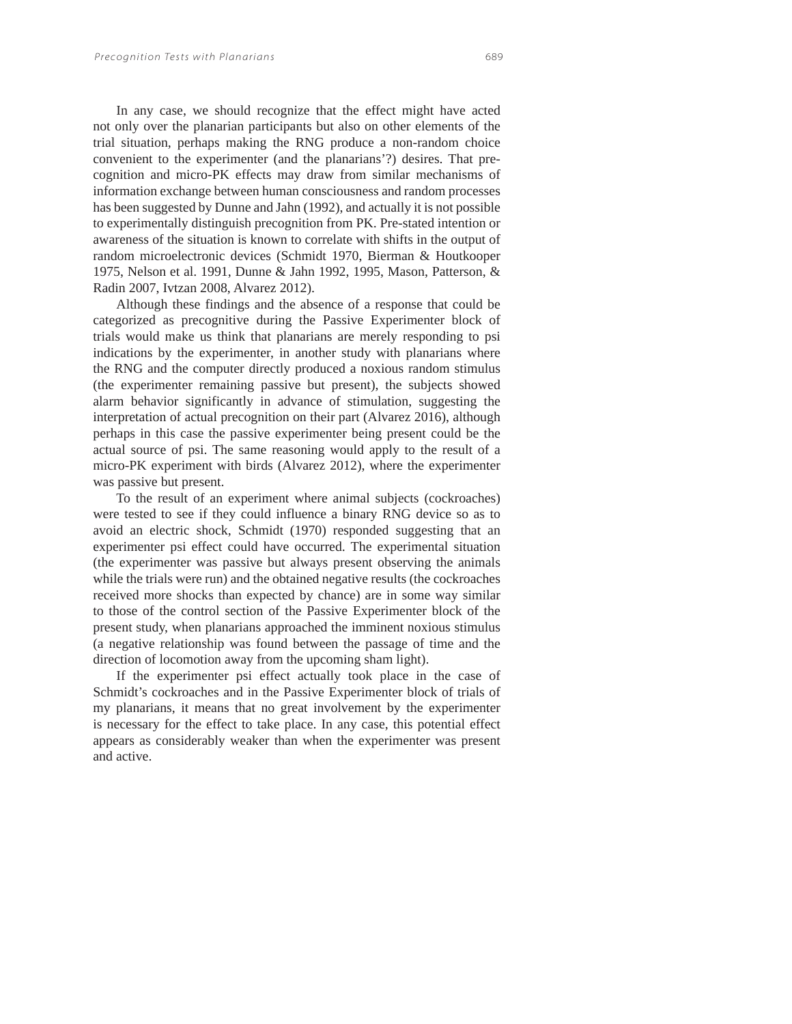In any case, we should recognize that the effect might have acted not only over the planarian participants but also on other elements of the trial situation, perhaps making the RNG produce a non-random choice convenient to the experimenter (and the planarians'?) desires. That precognition and micro-PK effects may draw from similar mechanisms of information exchange between human consciousness and random processes has been suggested by Dunne and Jahn (1992), and actually it is not possible to experimentally distinguish precognition from PK. Pre-stated intention or awareness of the situation is known to correlate with shifts in the output of random microelectronic devices (Schmidt 1970, Bierman & Houtkooper 1975, Nelson et al. 1991, Dunne & Jahn 1992, 1995, Mason, Patterson, & Radin 2007, Ivtzan 2008, Alvarez 2012).

Although these findings and the absence of a response that could be categorized as precognitive during the Passive Experimenter block of trials would make us think that planarians are merely responding to psi indications by the experimenter, in another study with planarians where the RNG and the computer directly produced a noxious random stimulus (the experimenter remaining passive but present), the subjects showed alarm behavior significantly in advance of stimulation, suggesting the interpretation of actual precognition on their part (Alvarez 2016), although perhaps in this case the passive experimenter being present could be the actual source of psi. The same reasoning would apply to the result of a micro-PK experiment with birds (Alvarez 2012), where the experimenter was passive but present.

To the result of an experiment where animal subjects (cockroaches) were tested to see if they could influence a binary RNG device so as to avoid an electric shock, Schmidt (1970) responded suggesting that an experimenter psi effect could have occurred. The experimental situation (the experimenter was passive but always present observing the animals while the trials were run) and the obtained negative results (the cockroaches received more shocks than expected by chance) are in some way similar to those of the control section of the Passive Experimenter block of the present study, when planarians approached the imminent noxious stimulus (a negative relationship was found between the passage of time and the direction of locomotion away from the upcoming sham light).

If the experimenter psi effect actually took place in the case of Schmidt's cockroaches and in the Passive Experimenter block of trials of my planarians, it means that no great involvement by the experimenter is necessary for the effect to take place. In any case, this potential effect appears as considerably weaker than when the experimenter was present and active.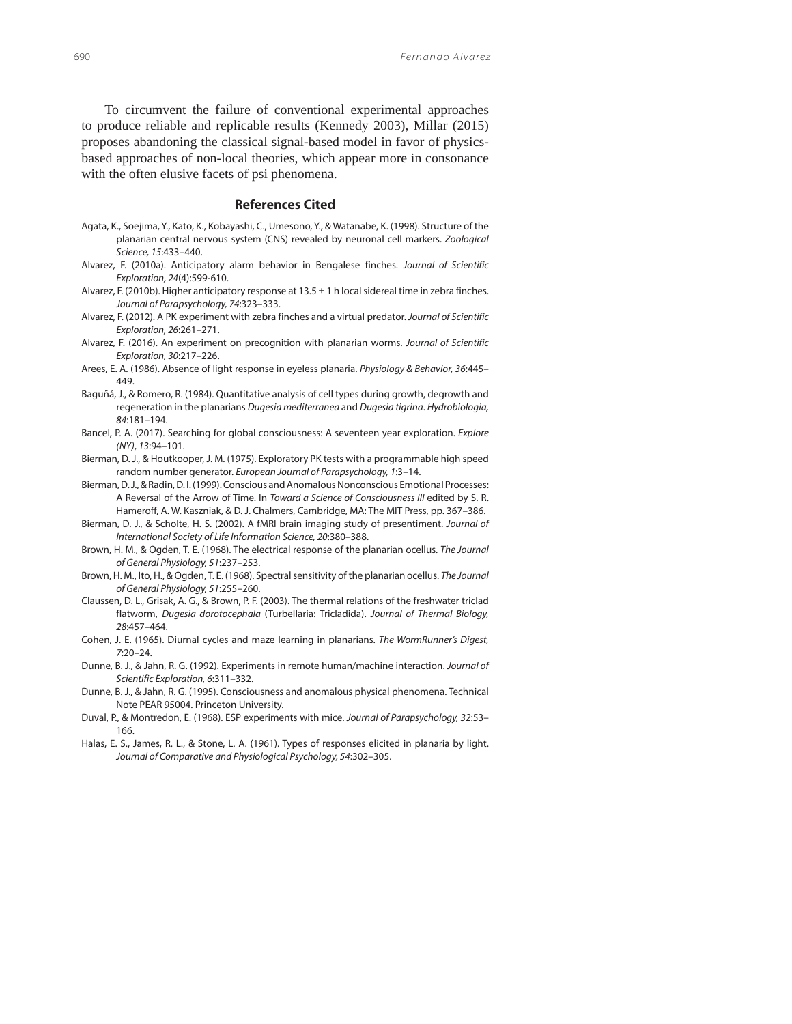To circumvent the failure of conventional experimental approaches to produce reliable and replicable results (Kennedy 2003), Millar (2015) proposes abandoning the classical signal-based model in favor of physicsbased approaches of non-local theories, which appear more in consonance with the often elusive facets of psi phenomena.

## **References Cited**

- Agata, K., Soejima, Y., Kato, K., Kobayashi, C., Umesono, Y., & Watanabe, K. (1998). Structure of the planarian central nervous system (CNS) revealed by neuronal cell markers. Zoological Science, 15:433–440.
- Alvarez, F. (2010a). Anticipatory alarm behavior in Bengalese finches. Journal of Scientific Exploration, 24(4):599-610.
- Alvarez, F. (2010b). Higher anticipatory response at  $13.5 \pm 1$  h local sidereal time in zebra finches. Journal of Parapsychology, 74:323–333.
- Alvarez, F. (2012). A PK experiment with zebra finches and a virtual predator. Journal of Scientific Exploration, 26:261–271.
- Alvarez, F. (2016). An experiment on precognition with planarian worms. Journal of Scientific Exploration, 30:217–226.
- Arees, E. A. (1986). Absence of light response in eyeless planaria. Physiology & Behavior, 36:445– 449.
- Baguñá, J., & Romero, R. (1984). Quantitative analysis of cell types during growth, degrowth and regeneration in the planarians Dugesia mediterranea and Dugesia tigrina. Hydrobiologia, 84:181–194.
- Bancel, P. A. (2017). Searching for global consciousness: A seventeen year exploration. Explore (NY), 13:94–101.
- Bierman, D. J., & Houtkooper, J. M. (1975). Exploratory PK tests with a programmable high speed random number generator. European Journal of Parapsychology, 1:3–14.
- Bierman, D. J., & Radin, D. I. (1999). Conscious and Anomalous Nonconscious Emotional Processes: A Reversal of the Arrow of Time. In Toward a Science of Consciousness III edited by S. R. Hameroff, A. W. Kaszniak, & D. J. Chalmers, Cambridge, MA: The MIT Press, pp. 367–386.
- Bierman, D. J., & Scholte, H. S. (2002). A fMRI brain imaging study of presentiment. Journal of International Society of Life Information Science, 20:380–388.
- Brown, H. M., & Ogden, T. E. (1968). The electrical response of the planarian ocellus. The Journal of General Physiology, 51:237–253.
- Brown, H. M., Ito, H., & Ogden, T. E. (1968). Spectral sensitivity of the planarian ocellus. The Journal of General Physiology, 51:255–260.
- Claussen, D. L., Grisak, A. G., & Brown, P. F. (2003). The thermal relations of the freshwater triclad flatworm, Dugesia dorotocephala (Turbellaria: Tricladida). Journal of Thermal Biology, 28:457–464.
- Cohen, J. E. (1965). Diurnal cycles and maze learning in planarians. The WormRunner's Digest, 7:20–24.
- Dunne, B. J., & Jahn, R. G. (1992). Experiments in remote human/machine interaction. Journal of Scientific Exploration, 6:311–332.
- Dunne, B. J., & Jahn, R. G. (1995). Consciousness and anomalous physical phenomena. Technical Note PEAR 95004. Princeton University.
- Duval, P., & Montredon, E. (1968). ESP experiments with mice. Journal of Parapsychology, 32:53-166.
- Halas, E. S., James, R. L., & Stone, L. A. (1961). Types of responses elicited in planaria by light. Journal of Comparative and Physiological Psychology, 54:302–305.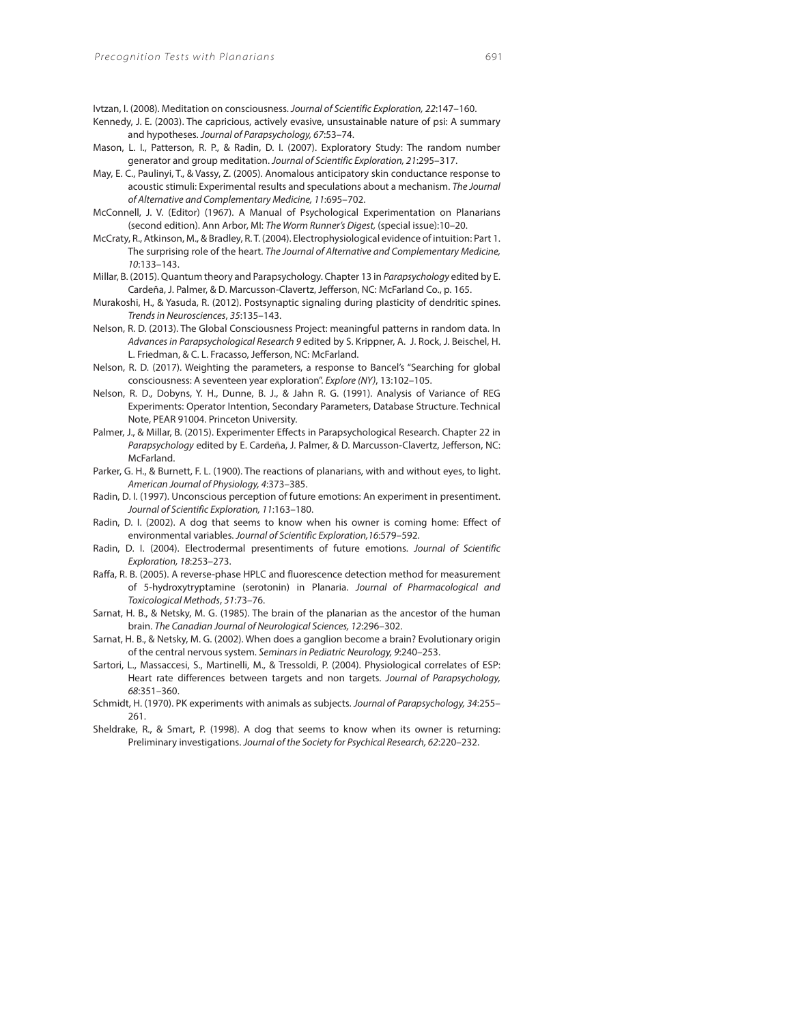Ivtzan, I. (2008). Meditation on consciousness. Journal of Scientific Exploration, 22:147–160.

- Kennedy, J. E. (2003). The capricious, actively evasive, unsustainable nature of psi: A summary and hypotheses. Journal of Parapsychology, 67:53–74.
- Mason, L. I., Patterson, R. P., & Radin, D. I. (2007). Exploratory Study: The random number generator and group meditation. Journal of Scientific Exploration, 21:295–317.
- May, E. C., Paulinyi, T., & Vassy, Z. (2005). Anomalous anticipatory skin conductance response to acoustic stimuli: Experimental results and speculations about a mechanism. The Journal of Alternative and Complementary Medicine, 11:695–702.
- McConnell, J. V. (Editor) (1967). A Manual of Psychological Experimentation on Planarians (second edition). Ann Arbor, MI: The Worm Runner's Digest, (special issue):10–20.
- McCraty, R., Atkinson, M., & Bradley, R. T. (2004). Electrophysiological evidence of intuition: Part 1. The surprising role of the heart. The Journal of Alternative and Complementary Medicine, 10:133–143.
- Millar, B. (2015). Quantum theory and Parapsychology. Chapter 13 in Parapsychology edited by E. Cardeña, J. Palmer, & D. Marcusson-Clavertz, Jefferson, NC: McFarland Co., p. 165.
- Murakoshi, H., & Yasuda, R. (2012). Postsynaptic signaling during plasticity of dendritic spines. Trends in Neurosciences, 35:135–143.
- Nelson, R. D. (2013). The Global Consciousness Project: meaningful patterns in random data. In Advances in Parapsychological Research 9 edited by S. Krippner, A. J. Rock, J. Beischel, H. L. Friedman, & C. L. Fracasso, Jefferson, NC: McFarland.
- Nelson, R. D. (2017). Weighting the parameters, a response to Bancel's "Searching for global consciousness: A seventeen year exploration". Explore (NY), 13:102–105.
- Nelson, R. D., Dobyns, Y. H., Dunne, B. J., & Jahn R. G. (1991). Analysis of Variance of REG Experiments: Operator Intention, Secondary Parameters, Database Structure. Technical Note, PEAR 91004. Princeton University.
- Palmer, J., & Millar, B. (2015). Experimenter Effects in Parapsychological Research. Chapter 22 in Parapsychology edited by E. Cardeña, J. Palmer, & D. Marcusson-Clavertz, Jefferson, NC: McFarland.
- Parker, G. H., & Burnett, F. L. (1900). The reactions of planarians, with and without eyes, to light. American Journal of Physiology, 4:373–385.
- Radin, D. I. (1997). Unconscious perception of future emotions: An experiment in presentiment. Journal of Scientific Exploration, 11:163–180.
- Radin, D. I. (2002). A dog that seems to know when his owner is coming home: Effect of environmental variables. Journal of Scientific Exploration,16:579–592.
- Radin, D. I. (2004). Electrodermal presentiments of future emotions. Journal of Scientific Exploration, 18:253–273.
- Raffa, R. B. (2005). A reverse-phase HPLC and fluorescence detection method for measurement of 5-hydroxytryptamine (serotonin) in Planaria. Journal of Pharmacological and Toxicological Methods, 51:73–76.
- Sarnat, H. B., & Netsky, M. G. (1985). The brain of the planarian as the ancestor of the human brain. The Canadian Journal of Neurological Sciences, 12:296–302.
- Sarnat, H. B., & Netsky, M. G. (2002). When does a ganglion become a brain? Evolutionary origin of the central nervous system. Seminars in Pediatric Neurology, 9:240–253.
- Sartori, L., Massaccesi, S., Martinelli, M., & Tressoldi, P. (2004). Physiological correlates of ESP: Heart rate differences between targets and non targets. Journal of Parapsychology, 68:351–360.
- Schmidt, H. (1970). PK experiments with animals as subjects. Journal of Parapsychology, 34:255– 261.
- Sheldrake, R., & Smart, P. (1998). A dog that seems to know when its owner is returning: Preliminary investigations. Journal of the Society for Psychical Research, 62:220–232.